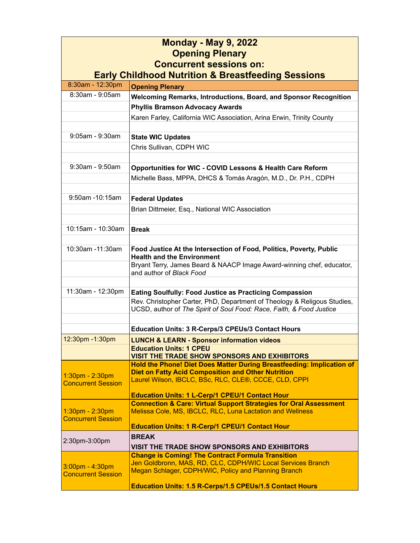| <b>Monday - May 9, 2022</b><br><b>Opening Plenary</b><br><b>Concurrent sessions on:</b><br><b>Early Childhood Nutrition &amp; Breastfeeding Sessions</b> |                                                                                                                                                                                             |
|----------------------------------------------------------------------------------------------------------------------------------------------------------|---------------------------------------------------------------------------------------------------------------------------------------------------------------------------------------------|
| 8:30am - 12:30pm                                                                                                                                         | <b>Opening Plenary</b>                                                                                                                                                                      |
| $8:30am - 9:05am$                                                                                                                                        | Welcoming Remarks, Introductions, Board, and Sponsor Recognition                                                                                                                            |
|                                                                                                                                                          | <b>Phyllis Bramson Advocacy Awards</b>                                                                                                                                                      |
|                                                                                                                                                          | Karen Farley, California WIC Association, Arina Erwin, Trinity County                                                                                                                       |
| $9:05$ am - $9:30$ am                                                                                                                                    | <b>State WIC Updates</b>                                                                                                                                                                    |
|                                                                                                                                                          | Chris Sullivan, CDPH WIC                                                                                                                                                                    |
|                                                                                                                                                          |                                                                                                                                                                                             |
| 9:30am - 9:50am                                                                                                                                          | Opportunities for WIC - COVID Lessons & Health Care Reform                                                                                                                                  |
|                                                                                                                                                          | Michelle Bass, MPPA, DHCS & Tomás Aragón, M.D., Dr. P.H., CDPH                                                                                                                              |
|                                                                                                                                                          |                                                                                                                                                                                             |
| 9:50am -10:15am                                                                                                                                          | <b>Federal Updates</b>                                                                                                                                                                      |
|                                                                                                                                                          | Brian Dittmeier, Esq., National WIC Association                                                                                                                                             |
|                                                                                                                                                          |                                                                                                                                                                                             |
| 10:15am - 10:30am                                                                                                                                        | <b>Break</b>                                                                                                                                                                                |
| 10:30am -11:30am                                                                                                                                         | Food Justice At the Intersection of Food, Politics, Poverty, Public<br><b>Health and the Environment</b>                                                                                    |
|                                                                                                                                                          | Bryant Terry, James Beard & NAACP Image Award-winning chef, educator,<br>and author of Black Food                                                                                           |
| 11:30am - 12:30pm                                                                                                                                        |                                                                                                                                                                                             |
|                                                                                                                                                          | <b>Eating Soulfully: Food Justice as Practicing Compassion</b><br>Rev. Christopher Carter, PhD, Department of Theology & Religous Studies,                                                  |
|                                                                                                                                                          | UCSD, author of The Spirit of Soul Food: Race, Faith, & Food Justice                                                                                                                        |
|                                                                                                                                                          |                                                                                                                                                                                             |
| 12:30pm -1:30pm                                                                                                                                          | Education Units: 3 R-Cerps/3 CPEUs/3 Contact Hours                                                                                                                                          |
|                                                                                                                                                          | <b>LUNCH &amp; LEARN - Sponsor information videos</b><br><b>Education Units: 1 CPEU</b>                                                                                                     |
|                                                                                                                                                          | <b>VISIT THE TRADE SHOW SPONSORS AND EXHIBITORS</b>                                                                                                                                         |
| 1:30pm - 2:30pm<br><b>Concurrent Session</b>                                                                                                             | Hold the Phone! Diet Does Matter During Breastfeeding: Implication of<br><b>Diet on Fatty Acid Composition and Other Nutrition</b><br>Laurel Wilson, IBCLC, BSc, RLC, CLE®, CCCE, CLD, CPPI |
|                                                                                                                                                          | <b>Education Units: 1 L-Cerp/1 CPEU/1 Contact Hour</b>                                                                                                                                      |
|                                                                                                                                                          | <b>Connection &amp; Care: Virtual Support Strategies for Oral Assessment</b><br>Melissa Cole, MS, IBCLC, RLC, Luna Lactation and Wellness                                                   |
| 1:30pm - 2:30pm<br><b>Concurrent Session</b>                                                                                                             |                                                                                                                                                                                             |
|                                                                                                                                                          | <b>Education Units: 1 R-Cerp/1 CPEU/1 Contact Hour</b>                                                                                                                                      |
| 2:30pm-3:00pm                                                                                                                                            | <b>BREAK</b>                                                                                                                                                                                |
|                                                                                                                                                          | VISIT THE TRADE SHOW SPONSORS AND EXHIBITORS                                                                                                                                                |
| 3:00pm - 4:30pm<br><b>Concurrent Session</b>                                                                                                             | <b>Change is Coming! The Contract Formula Transition</b><br>Jen Goldbronn, MAS, RD, CLC, CDPH/WIC Local Services Branch                                                                     |
|                                                                                                                                                          | Megan Schlager, CDPH/WIC, Policy and Planning Branch                                                                                                                                        |
|                                                                                                                                                          | Education Units: 1.5 R-Cerps/1.5 CPEUs/1.5 Contact Hours                                                                                                                                    |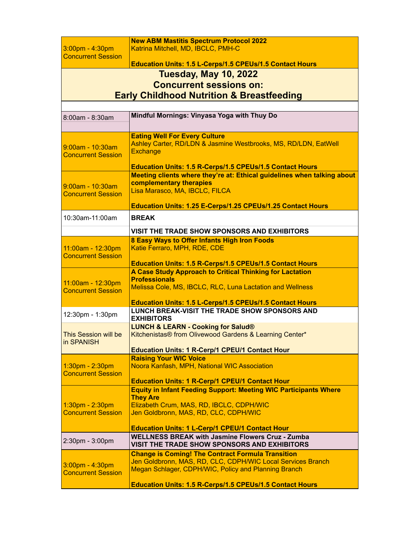| $3:00$ pm - 4:30pm                                   | <b>New ABM Mastitis Spectrum Protocol 2022</b><br>Katrina Mitchell, MD, IBCLC, PMH-C                                                                                                                                                        |  |
|------------------------------------------------------|---------------------------------------------------------------------------------------------------------------------------------------------------------------------------------------------------------------------------------------------|--|
| <b>Concurrent Session</b>                            | Education Units: 1.5 L-Cerps/1.5 CPEUs/1.5 Contact Hours                                                                                                                                                                                    |  |
| <b>Tuesday, May 10, 2022</b>                         |                                                                                                                                                                                                                                             |  |
| <b>Concurrent sessions on:</b>                       |                                                                                                                                                                                                                                             |  |
| <b>Early Childhood Nutrition &amp; Breastfeeding</b> |                                                                                                                                                                                                                                             |  |
|                                                      |                                                                                                                                                                                                                                             |  |
| 8:00am - 8:30am                                      | Mindful Mornings: Vinyasa Yoga with Thuy Do                                                                                                                                                                                                 |  |
| 9:00am - 10:30am<br><b>Concurrent Session</b>        | <b>Eating Well For Every Culture</b><br>Ashley Carter, RD/LDN & Jasmine Westbrooks, MS, RD/LDN, EatWell<br><b>Exchange</b><br>Education Units: 1.5 R-Cerps/1.5 CPEUs/1.5 Contact Hours                                                      |  |
| 9:00am - 10:30am<br><b>Concurrent Session</b>        | Meeting clients where they're at: Ethical guidelines when talking about<br>complementary therapies<br>Lisa Marasco, MA, IBCLC, FILCA<br>Education Units: 1.25 E-Cerps/1.25 CPEUs/1.25 Contact Hours                                         |  |
| 10:30am-11:00am                                      | <b>BREAK</b>                                                                                                                                                                                                                                |  |
|                                                      | VISIT THE TRADE SHOW SPONSORS AND EXHIBITORS                                                                                                                                                                                                |  |
| 11:00am - 12:30pm<br><b>Concurrent Session</b>       | 8 Easy Ways to Offer Infants High Iron Foods<br>Katie Ferraro, MPH, RDE, CDE<br>Education Units: 1.5 R-Cerps/1.5 CPEUs/1.5 Contact Hours                                                                                                    |  |
| 11:00am - 12:30pm<br><b>Concurrent Session</b>       | A Case Study Approach to Critical Thinking for Lactation<br><b>Professionals</b><br>Melissa Cole, MS, IBCLC, RLC, Luna Lactation and Wellness                                                                                               |  |
|                                                      | Education Units: 1.5 L-Cerps/1.5 CPEUs/1.5 Contact Hours<br><b>LUNCH BREAK-VISIT THE TRADE SHOW SPONSORS AND</b>                                                                                                                            |  |
| 12:30pm - 1:30pm                                     | <b>EXHIBITORS</b>                                                                                                                                                                                                                           |  |
| This Session will be<br>in SPANISH                   | <b>LUNCH &amp; LEARN - Cooking for Salud®</b><br>Kitchenistas® from Olivewood Gardens & Learning Center*                                                                                                                                    |  |
|                                                      | <b>Education Units: 1 R-Cerp/1 CPEU/1 Contact Hour</b><br><b>Raising Your WIC Voice</b>                                                                                                                                                     |  |
| $1:30pm - 2:30pm$<br><b>Concurrent Session</b>       | Noora Kanfash, MPH, National WIC Association<br><b>Education Units: 1 R-Cerp/1 CPEU/1 Contact Hour</b>                                                                                                                                      |  |
| 1:30pm - 2:30pm<br><b>Concurrent Session</b>         | <b>Equity in Infant Feeding Support: Meeting WIC Participants Where</b><br><b>They Are</b><br>Elizabeth Crum, MAS, RD, IBCLC, CDPH/WIC<br>Jen Goldbronn, MAS, RD, CLC, CDPH/WIC<br><b>Education Units: 1 L-Cerp/1 CPEU/1 Contact Hour</b>   |  |
| 2:30pm - 3:00pm                                      | <b>WELLNESS BREAK with Jasmine Flowers Cruz - Zumba</b><br>VISIT THE TRADE SHOW SPONSORS AND EXHIBITORS                                                                                                                                     |  |
| 3:00pm - 4:30pm<br><b>Concurrent Session</b>         | <b>Change is Coming! The Contract Formula Transition</b><br>Jen Goldbronn, MAS, RD, CLC, CDPH/WIC Local Services Branch<br>Megan Schlager, CDPH/WIC, Policy and Planning Branch<br>Education Units: 1.5 R-Cerps/1.5 CPEUs/1.5 Contact Hours |  |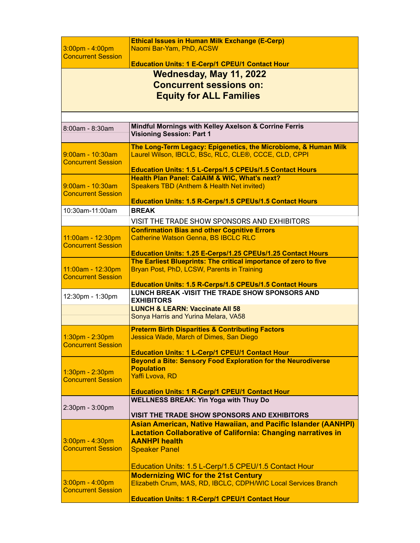| $3:00$ pm - 4:00pm<br><b>Concurrent Session</b> | <b>Ethical Issues in Human Milk Exchange (E-Cerp)</b><br>Naomi Bar-Yam, PhD, ACSW                         |  |
|-------------------------------------------------|-----------------------------------------------------------------------------------------------------------|--|
|                                                 | <b>Education Units: 1 E-Cerp/1 CPEU/1 Contact Hour</b>                                                    |  |
|                                                 | <b>Wednesday, May 11, 2022</b>                                                                            |  |
| <b>Concurrent sessions on:</b>                  |                                                                                                           |  |
|                                                 |                                                                                                           |  |
|                                                 | <b>Equity for ALL Families</b>                                                                            |  |
|                                                 |                                                                                                           |  |
|                                                 |                                                                                                           |  |
| 8:00am - 8:30am                                 | Mindful Mornings with Kelley Axelson & Corrine Ferris<br><b>Visioning Session: Part 1</b>                 |  |
|                                                 | The Long-Term Legacy: Epigenetics, the Microbiome, & Human Milk                                           |  |
| 9:00am - 10:30am                                | Laurel Wilson, IBCLC, BSc, RLC, CLE®, CCCE, CLD, CPPI                                                     |  |
| <b>Concurrent Session</b>                       |                                                                                                           |  |
|                                                 | Education Units: 1.5 L-Cerps/1.5 CPEUs/1.5 Contact Hours<br>Health Plan Panel: CalAIM & WIC, What's next? |  |
| 9:00am - 10:30am                                | Speakers TBD (Anthem & Health Net invited)                                                                |  |
| <b>Concurrent Session</b>                       |                                                                                                           |  |
|                                                 | <b>Education Units: 1.5 R-Cerps/1.5 CPEUs/1.5 Contact Hours</b>                                           |  |
| 10:30am-11:00am                                 | <b>BREAK</b>                                                                                              |  |
|                                                 | VISIT THE TRADE SHOW SPONSORS AND EXHIBITORS                                                              |  |
|                                                 | <b>Confirmation Bias and other Cognitive Errors</b>                                                       |  |
| 11:00am - 12:30pm                               | <b>Catherine Watson Genna, BS IBCLC RLC</b>                                                               |  |
| <b>Concurrent Session</b>                       | Education Units: 1.25 E-Cerps/1.25 CPEUs/1.25 Contact Hours                                               |  |
|                                                 | The Earliest Blueprints: The critical importance of zero to five                                          |  |
| 11:00am - 12:30pm                               | Bryan Post, PhD, LCSW, Parents in Training                                                                |  |
| <b>Concurrent Session</b>                       |                                                                                                           |  |
|                                                 | Education Units: 1.5 R-Cerps/1.5 CPEUs/1.5 Contact Hours                                                  |  |
| 12:30pm - 1:30pm                                | <b>LUNCH BREAK - VISIT THE TRADE SHOW SPONSORS AND</b><br><b>EXHIBITORS</b>                               |  |
|                                                 | <b>LUNCH &amp; LEARN: Vaccinate All 58</b>                                                                |  |
|                                                 | Sonya Harris and Yurina Melara, VA58                                                                      |  |
|                                                 | <b>Preterm Birth Disparities &amp; Contributing Factors</b>                                               |  |
| 1:30pm - 2:30pm                                 | Jessica Wade, March of Dimes, San Diego                                                                   |  |
| <b>Concurrent Session</b>                       |                                                                                                           |  |
|                                                 | <b>Education Units: 1 L-Cerp/1 CPEU/1 Contact Hour</b>                                                    |  |
|                                                 | <b>Beyond a Bite: Sensory Food Exploration for the Neurodiverse</b>                                       |  |
| 1:30pm - 2:30pm                                 | <b>Population</b><br>Yaffi Lvova, RD                                                                      |  |
| <b>Concurrent Session</b>                       |                                                                                                           |  |
|                                                 | <b>Education Units: 1 R-Cerp/1 CPEU/1 Contact Hour</b>                                                    |  |
|                                                 | <b>WELLNESS BREAK: Yin Yoga with Thuy Do</b>                                                              |  |
| 2:30pm - 3:00pm                                 | <b>VISIT THE TRADE SHOW SPONSORS AND EXHIBITORS</b>                                                       |  |
|                                                 | <b>Asian American, Native Hawaiian, and Pacific Islander (AANHPI)</b>                                     |  |
|                                                 | <b>Lactation Collaborative of California: Changing narratives in</b>                                      |  |
| 3:00pm - 4:30pm                                 | <b>AANHPI health</b>                                                                                      |  |
| <b>Concurrent Session</b>                       | <b>Speaker Panel</b>                                                                                      |  |
|                                                 |                                                                                                           |  |
|                                                 | Education Units: 1.5 L-Cerp/1.5 CPEU/1.5 Contact Hour                                                     |  |
|                                                 | <b>Modernizing WIC for the 21st Century</b>                                                               |  |
| $3:00$ pm - 4:00pm<br><b>Concurrent Session</b> | Elizabeth Crum, MAS, RD, IBCLC, CDPH/WIC Local Services Branch                                            |  |
|                                                 | <b>Education Units: 1 R-Cerp/1 CPEU/1 Contact Hour</b>                                                    |  |
|                                                 |                                                                                                           |  |